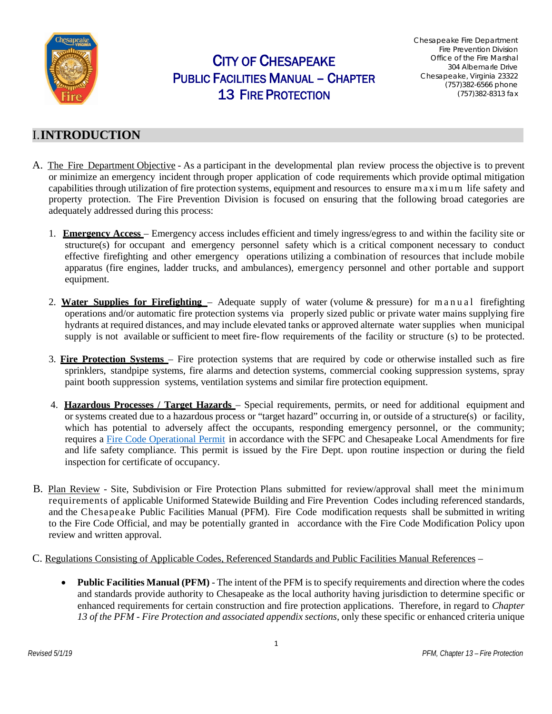

# CITY OF CHESAPEAKE PUBLIC FACILITIES MANUAL – CHAPTER 13 FIRE PROTECTION

Chesapeake Fire Department Fire Prevention Division Office of the Fire Marshal 304 Albemarle Drive Chesapeake, Virginia 23322 (757)382-6566 phone (757)382-8313 fax

## I.**INTRODUCTION**

- A. The Fire Department Objective As a participant in the developmental plan review process the objective is to prevent or minimize an emergency incident through proper application of code requirements which provide optimal mitigation capabilities through utilization of fire protection systems, equipment and resources to ensure maximum life safety and property protection. The Fire Prevention Division is focused on ensuring that the following broad categories are adequately addressed during this process:
	- 1. **Emergency Access** Emergency access includes efficient and timely ingress/egress to and within the facility site or structure(s) for occupant and emergency personnel safety which is a critical component necessary to conduct effective firefighting and other emergency operations utilizing a combination of resources that include mobile apparatus (fire engines, ladder trucks, and ambulances), emergency personnel and other portable and support equipment.
	- 2. **Water Supplies for Firefighting** Adequate supply of water (volume & pressure) for manual firefighting operations and/or automatic fire protection systems via properly sized public or private water mains supplying fire hydrants at required distances, and may include elevated tanks or approved alternate water supplies when municipal supply is not available or sufficient to meet fire-flow requirements of the facility or structure (s) to be protected.
	- 3. **Fire Protection Systems** Fire protection systems that are required by code or otherwise installed such as fire sprinklers, standpipe systems, fire alarms and detection systems, commercial cooking suppression systems, spray paint booth suppression systems, ventilation systems and similar fire protection equipment.
	- 4. **Hazardous Processes / Target Hazards** Special requirements, permits, or need for additional equipment and or systems created due to a hazardous process or "target hazard" occurring in, or outside of a structure(s) or facility, which has potential to adversely affect the occupants, responding emergency personnel, or the community; requires a [Fire Code Operational Permit](http://www.cityofchesapeake.net/Assets/documents/departments/fire/Fire-Operational_Fire_Code_Permits.pdf) in accordance with the SFPC and Chesapeake Local Amendments for fire and life safety compliance. This permit is issued by the Fire Dept. upon routine inspection or during the field inspection for certificate of occupancy.
- B. Plan Review Site, Subdivision or Fire Protection Plans submitted for review/approval shall meet the minimum requirements of applicable Uniformed Statewide Building and Fire Prevention Codes including referenced standards, and the Chesapeake Public Facilities Manual (PFM). Fire Code modification requests shall be submitted in writing to the Fire Code Official, and may be potentially granted in accordance with the Fire Code Modification Policy upon review and written approval.

#### C. Regulations Consisting of Applicable Codes, Referenced Standards and Public Facilities Manual References –

• **Public Facilities Manual (PFM)** - The intent of the PFM is to specify requirements and direction where the codes and standards provide authority to Chesapeake as the local authority having jurisdiction to determine specific or enhanced requirements for certain construction and fire protection applications. Therefore, in regard to *Chapter 13 of the PFM - Fire Protection and associated appendix sections*, only these specific or enhanced criteria unique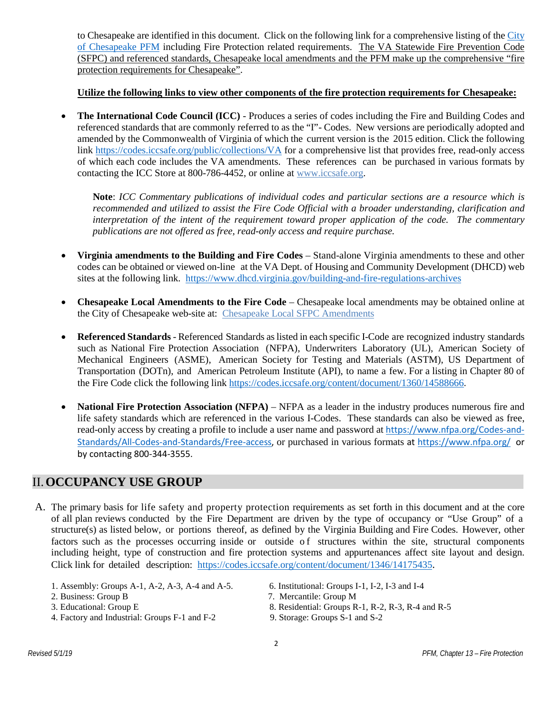to Chesapeake are identified in this document. Click on the following link for a comprehensive listing of the [City](http://www.cityofchesapeake.net/government/city-departments/departments/Department-of-Development-and-Permits/construction-engineering/pfm.htm)  [of Chesapeake PFM](http://www.cityofchesapeake.net/government/city-departments/departments/Department-of-Development-and-Permits/construction-engineering/pfm.htm) including Fire Protection related requirements. The VA Statewide Fire Prevention Code (SFPC) and referenced standards, Chesapeake local amendments and the PFM make up the comprehensive "fire protection requirements for Chesapeake".

#### **Utilize the following links to view other components of the fire protection requirements for Chesapeake:**

• **The International Code Council (ICC)** - Produces a series of codes including the Fire and Building Codes and referenced standards that are commonly referred to as the "I"- Codes. New versions are periodically adopted and amended by the Commonwealth of Virginia of which the current version is the 2015 edition. Click the following link<https://codes.iccsafe.org/public/collections/VA> for a comprehensive list that provides free, read-only access of which each code includes the VA amendments. These references can be purchased in various formats by contacting the ICC Store at 800-786-4452, or online at [www.iccsafe.org.](http://www.iccsafe.org/)

**Note**: *ICC Commentary publications of individual codes and particular sections are a resource which is recommended and utilized to assist the Fire Code Official with a broader understanding, clarification and interpretation of the intent of the requirement toward proper application of the code. The commentary publications are not offered as free, read-only access and require purchase.*

- **Virginia amendments to the Building and Fire Codes** Stand-alone Virginia amendments to these and other codes can be obtained or viewed on-line at the VA Dept. of Housing and Community Development (DHCD) web sites at the following link. <https://www.dhcd.virginia.gov/building-and-fire-regulations-archives>
- **Chesapeake Local Amendments to the Fire Code** Chesapeake local amendments may be obtained online at the City of Chesapeake web-site at: [Chesapeake Local SFPC Amendments](http://www.cityofchesapeake.net/AssetFactory.aspx?did=15345)
- **Referenced Standards** Referenced Standards as listed in each specific I-Code are recognized industry standards such as National Fire Protection Association (NFPA), Underwriters Laboratory (UL), American Society of Mechanical Engineers (ASME), American Society for Testing and Materials (ASTM), US Department of Transportation (DOTn), and American Petroleum Institute (API), to name a few. For a listing in Chapter 80 of the Fire Code click the following link <https://codes.iccsafe.org/content/document/1360/14588666>.
- **National Fire Protection Association (NFPA)** NFPA as a leader in the industry produces numerous fire and life safety standards which are referenced in the various I-Codes. These standards can also be viewed as free, read-only access by creating a profile to include a user name and password at [https://www.nfpa.org/Codes-and-](https://www.nfpa.org/Codes-and-Standards/All-Codes-and-Standards/Free-access)[Standards/All-Codes-and-Standards/Free-access,](https://www.nfpa.org/Codes-and-Standards/All-Codes-and-Standards/Free-access) or purchased in various formats at<https://www.nfpa.org/>or by contacting 800-344-3555.

## II.**OCCUPANCY USE GROUP**

- A. The primary basis for life safety and property protection requirements as set forth in this document and at the core of all plan reviews conducted by the Fire Department are driven by the type of occupancy or "Use Group" of a structure(s) as listed below, or portions thereof, as defined by the Virginia Building and Fire Codes. However, other factors such as the processes occurring inside or outside of structures within the site, structural components including height, type of construction and fire protection systems and appurtenances affect site layout and design. Click link for detailed description: [https://codes.iccsafe.org/content/document/1346/14175435.](https://codes.iccsafe.org/content/document/1346/14175435)
	- 1. Assembly: Groups A-1, A-2, A-3, A-4 and A-5. 6. Institutional: Groups I-1, I-2, I-3 and I-4
	-
	-
	- 4. Factory and Industrial: Groups F-1 and F-2 9. Storage: Groups S-1 and S-2
- - 2. Business: Group B 7. Mercantile: Group M
	- 3. Educational: Group E 8. Residential: Groups R-1, R-2, R-3, R-4 and R-5
		-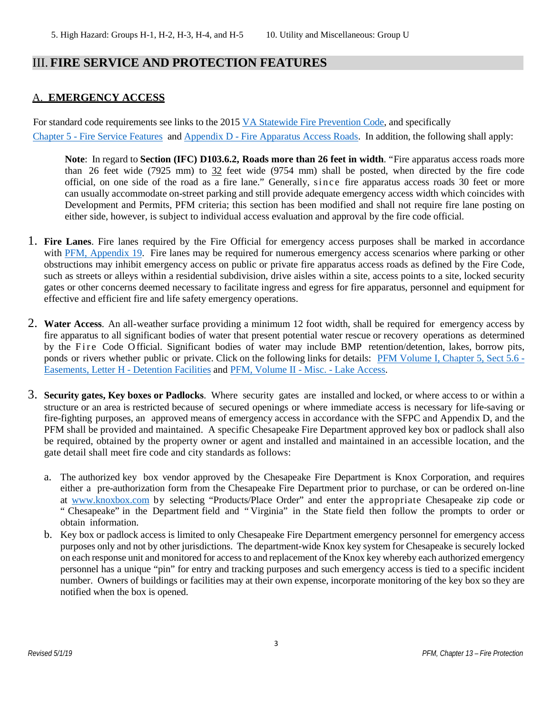## III. **FIRE SERVICE AND PROTECTION FEATURES**

### A. **EMERGENCY ACCESS**

For standard code requirements see links to the 2015 [VA Statewide Fire Prevention Code,](https://codes.iccsafe.org/content/VFC2015SUP) and specifically Chapter 5 - [Fire Service Features](https://codes.iccsafe.org/content/document/1360/14573891) and Appendix D - [Fire Apparatus Access Roads.](https://codes.iccsafe.org/content/document/1360/14589048) In addition, the following shall apply:

**Note**: In regard to **Section (IFC) D103.6.2, Roads more than 26 feet in width**. "Fire apparatus access roads more than 26 feet wide (7925 mm) to 32 feet wide (9754 mm) shall be posted, when directed by the fire code official, on one side of the road as a fire lane." Generally, since fire apparatus access roads 30 feet or more can usually accommodate on-street parking and still provide adequate emergency access width which coincides with Development and Permits, PFM criteria; this section has been modified and shall not require fire lane posting on either side, however, is subject to individual access evaluation and approval by the fire code official.

- 1. **Fire Lanes**. Fire lanes required by the Fire Official for emergency access purposes shall be marked in accordance with [PFM, Appendix 19.](http://www.cityofchesapeake.net/Assets/documents/departments/development_permits/pfm/volumei/appendices/19-FireLanePainting$!26Signs.pdf) Fire lanes may be required for numerous emergency access scenarios where parking or other obstructions may inhibit emergency access on public or private fire apparatus access roads as defined by the Fire Code, such as streets or alleys within a residential subdivision, drive aisles within a site, access points to a site, locked security gates or other concerns deemed necessary to facilitate ingress and egress for fire apparatus, personnel and equipment for effective and efficient fire and life safety emergency operations.
- 2. **Water Access**. An all-weather surface providing a minimum 12 foot width, shall be required for emergency access by fire apparatus to all significant bodies of water that present potential water rescue or recovery operations as determined by the Fire Code O fficial. Significant bodies of water may include BMP retention/detention, lakes, borrow pits, ponds or rivers whether public or private. Click on the following links for details: [PFM Volume I, Chapter 5, Sect 5.6 -](http://www.cityofchesapeake.net/Assets/documents/departments/development_permits/pfm/volumei/chapters/05-Stormwater-Management-and-Drainage-Design.pdf) [Easements, Letter H -](http://www.cityofchesapeake.net/Assets/documents/departments/development_permits/pfm/volumei/chapters/05-Stormwater-Management-and-Drainage-Design.pdf) Detention Facilities and [PFM, Volume II -](http://www.cityofchesapeake.net/Assets/documents/departments/development_permits/pfm/volumeii/miscellaneous/miscellaneous7+-Lake+Access+Easement+and+Access+Signs+1-LAE.pdf) Misc. - Lake Access.
- 3. **Security gates, Key boxes or Padlocks**. Where security gates are installed and locked, or where access to or within a structure or an area is restricted because of secured openings or where immediate access is necessary for life-saving or fire-fighting purposes, an approved means of emergency access in accordance with the SFPC and Appendix D, and the PFM shall be provided and maintained. A specific Chesapeake Fire Department approved key box or padlock shall also be required, obtained by the property owner or agent and installed and maintained in an accessible location, and the gate detail shall meet fire code and city standards as follows:
	- a. The authorized key box vendor approved by the Chesapeake Fire Department is Knox Corporation, and requires either a pre-authorization form from the Chesapeake Fire Department prior to purchase, or can be ordered on-line at [www.knoxbox.com](http://www.knoxbox.com/) by selecting "Products/Place Order" and enter the appropriate Chesapeake zip code or " Chesapeake" in the Department field and " Virginia" in the State field then follow the prompts to order or obtain information.
	- b. Key box or padlock access is limited to only Chesapeake Fire Department emergency personnel for emergency access purposes only and not by other jurisdictions. The department-wide Knox key system for Chesapeake is securely locked on each response unit and monitored for access to and replacement of the Knox key whereby each authorized emergency personnel has a unique "pin" for entry and tracking purposes and such emergency access is tied to a specific incident number. Owners of buildings or facilities may at their own expense, incorporate monitoring of the key box so they are notified when the box is opened.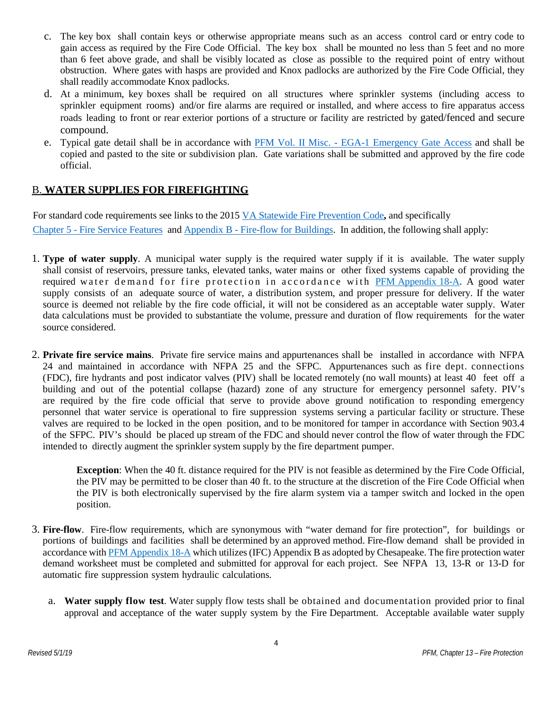- c. The key box shall contain keys or otherwise appropriate means such as an access control card or entry code to gain access as required by the Fire Code Official. The key box shall be mounted no less than 5 feet and no more than 6 feet above grade, and shall be visibly located as close as possible to the required point of entry without obstruction. Where gates with hasps are provided and Knox padlocks are authorized by the Fire Code Official, they shall readily accommodate Knox padlocks.
- d. At a minimum, key boxes shall be required on all structures where sprinkler systems (including access to sprinkler equipment rooms) and/or fire alarms are required or installed, and where access to fire apparatus access roads leading to front or rear exterior portions of a structure or facility are restricted by gated/fenced and secure compound.
- e. Typical gate detail shall be in accordance with PFM Vol. II Misc. [EGA-1 Emergency Gate Access](http://www.cityofchesapeake.net/Assets/documents/departments/development_permits/pfm/volumeii/miscellaneous/ega-a.pdf) and shall be copied and pasted to the site or subdivision plan. Gate variations shall be submitted and approved by the fire code official.

### B. **WATER SUPPLIES FOR FIREFIGHTING**

For standard code requirements see links to the 2015 [VA Statewide Fire Prevention Code](https://codes.iccsafe.org/content/VFC2015SUP)**,** and specifically Chapter 5 - [Fire Service Features](https://codes.iccsafe.org/content/document/1360/14573891) and Appendix B - [Fire-flow for Buildings.](https://codes.iccsafe.org/content/document/1360/14588727) In addition, the following shall apply:

- 1. **Type of water supply**. A municipal water supply is the required water supply if it is available. The water supply shall consist of reservoirs, pressure tanks, elevated tanks, water mains or other fixed systems capable of providing the required water demand for fire protection in accordance with [PFM Appendix 18-A.](http://www.cityofchesapeake.net/Asset14620.aspx) A good water supply consists of an adequate source of water, a distribution system, and proper pressure for delivery. If the water source is deemed not reliable by the fire code official, it will not be considered as an acceptable water supply. Water data calculations must be provided to substantiate the volume, pressure and duration of flow requirements for the water source considered.
- 2. **Private fire service mains**. Private fire service mains and appurtenances shall be installed in accordance with NFPA 24 and maintained in accordance with NFPA 25 and the SFPC. Appurtenances such as fire dept. connections (FDC), fire hydrants and post indicator valves (PIV) shall be located remotely (no wall mounts) at least 40 feet off a building and out of the potential collapse (hazard) zone of any structure for emergency personnel safety. PIV's are required by the fire code official that serve to provide above ground notification to responding emergency personnel that water service is operational to fire suppression systems serving a particular facility or structure. These valves are required to be locked in the open position, and to be monitored for tamper in accordance with Section 903.4 of the SFPC. PIV's should be placed up stream of the FDC and should never control the flow of water through the FDC intended to directly augment the sprinkler system supply by the fire department pumper.

**Exception**: When the 40 ft. distance required for the PIV is not feasible as determined by the Fire Code Official, the PIV may be permitted to be closer than 40 ft. to the structure at the discretion of the Fire Code Official when the PIV is both electronically supervised by the fire alarm system via a tamper switch and locked in the open position.

- 3. **Fire-flow**. Fire-flow requirements, which are synonymous with "water demand for fire protection", for buildings or portions of buildings and facilities shall be determined by an approved method. Fire-flow demand shall be provided in accordance wit[h PFM Appendix 18-A](http://www.cityofchesapeake.net/Asset14620.aspx) which utilizes (IFC) Appendix B as adopted by Chesapeake. The fire protection water demand worksheet must be completed and submitted for approval for each project. See NFPA 13, 13-R or 13-D for automatic fire suppression system hydraulic calculations.
	- a. **Water supply flow test**. Water supply flow tests shall be obtained and documentation provided prior to final approval and acceptance of the water supply system by the Fire Department. Acceptable available water supply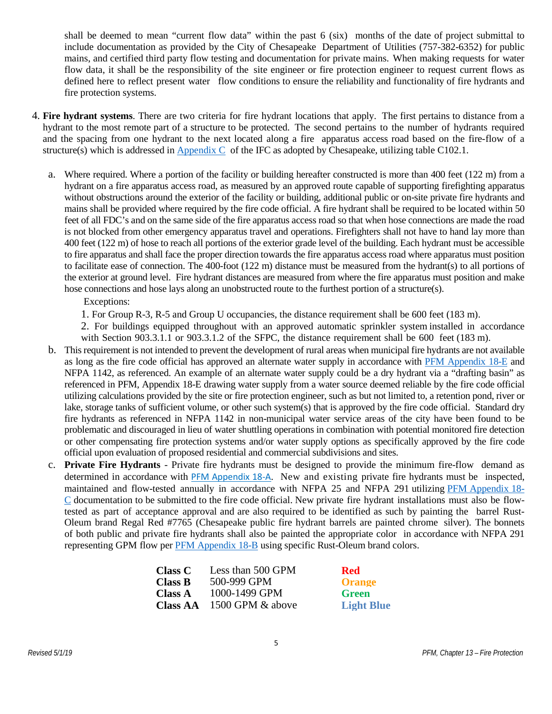shall be deemed to mean "current flow data" within the past 6 (six) months of the date of project submittal to include documentation as provided by the City of Chesapeake Department of Utilities (757-382-6352) for public mains, and certified third party flow testing and documentation for private mains. When making requests for water flow data, it shall be the responsibility of the site engineer or fire protection engineer to request current flows as defined here to reflect present water flow conditions to ensure the reliability and functionality of fire hydrants and fire protection systems.

- 4. **Fire hydrant systems**. There are two criteria for fire hydrant locations that apply. The first pertains to distance from a hydrant to the most remote part of a structure to be protected. The second pertains to the number of hydrants required and the spacing from one hydrant to the next located along a fire apparatus access road based on the fire-flow of a structure(s) which is addressed in [Appendix C](https://codes.iccsafe.org/content/document/1360/14588977) of the IFC as adopted by Chesapeake, utilizing table C102.1.
	- a. Where required. Where a portion of the facility or building hereafter constructed is more than 400 feet (122 m) from a hydrant on a fire apparatus access road, as measured by an approved route capable of supporting firefighting apparatus without obstructions around the exterior of the facility or building, additional public or on-site private fire hydrants and mains shall be provided where required by the fire code official. A fire hydrant shall be required to be located within 50 feet of all FDC's and on the same side of the fire apparatus access road so that when hose connections are made the road is not blocked from other emergency apparatus travel and operations. Firefighters shall not have to hand lay more than 400 feet (122 m) of hose to reach all portions of the exterior grade level of the building. Each hydrant must be accessible to fire apparatus and shall face the proper direction towards the fire apparatus access road where apparatus must position to facilitate ease of connection. The 400-foot (122 m) distance must be measured from the hydrant(s) to all portions of the exterior at ground level. Fire hydrant distances are measured from where the fire apparatus must position and make hose connections and hose lays along an unobstructed route to the furthest portion of a structure(s).

Exceptions:

1. For Group R-3, R-5 and Group U occupancies, the distance requirement shall be 600 feet (183 m).

2. For buildings equipped throughout with an approved automatic sprinkler system installed in accordance with Section 903.3.1.1 or 903.3.1.2 of the SFPC, the distance requirement shall be 600 feet (183 m).

- b. This requirement is not intended to prevent the development of rural areas when municipal fire hydrants are not available as long as the fire code official has approved an alternate water supply in accordance with [PFM Appendix 18-E](http://www.cityofchesapeake.net/Assets/documents/departments/development_permits/pfm/volumei/appendices/18-E-Drafting+Basin.pdf) and NFPA 1142, as referenced. An example of an alternate water supply could be a dry hydrant via a "drafting basin" as referenced in PFM, Appendix 18-E drawing water supply from a water source deemed reliable by the fire code official utilizing calculations provided by the site or fire protection engineer, such as but not limited to, a retention pond, river or lake, storage tanks of sufficient volume, or other such system(s) that is approved by the fire code official. Standard dry fire hydrants as referenced in NFPA 1142 in non-municipal water service areas of the city have been found to be problematic and discouraged in lieu of water shuttling operations in combination with potential monitored fire detection or other compensating fire protection systems and/or water supply options as specifically approved by the fire code official upon evaluation of proposed residential and commercial subdivisions and sites.
- c. **Private Fire Hydrants** Private fire hydrants must be designed to provide the minimum fire-flow demand as determined in accordance with [PFM Appendix 18-A](http://www.cityofchesapeake.net/Asset14620.aspx)[.](http://www.cityofchesapeake.net/Asset14624.aspx) New and existing private fire hydrants must be inspected, maintained and flow-tested annually in accordance with NFPA 25 and NFPA 291 utilizing [PFM Appendix](http://www.cityofchesapeake.net/Assets/forms/departments/development_permits/PFM/18-C+Private+Fire+Hydrant+-+Inspection+Report.pdf) 18- [C](http://www.cityofchesapeake.net/Assets/forms/departments/development_permits/PFM/18-C+Private+Fire+Hydrant+-+Inspection+Report.pdf) documentation to be submitted to the fire code official. New private fire hydrant installations must also be flowtested as part of acceptance approval and are also required to be identified as such by painting the barrel Rust-Oleum brand Regal Red #7765 (Chesapeake public fire hydrant barrels are painted chrome silver). The bonnets of both public and private fire hydrants shall also be painted the appropriate color in accordance with NFPA 291 representing GPM flow per [PFM Appendix 18-B](http://www.cityofchesapeake.net/Assets/documents/departments/development_permits/pfm/volumei/appendices/18-B-PrivateFireHydrant-Maintenance$!26ColorCoding.pdf) using specific Rust-Oleum brand colors.

| <b>Class C</b>  | Less than 500 GPM | <b>Red</b>        |
|-----------------|-------------------|-------------------|
| <b>Class B</b>  | 500-999 GPM       | <b>Orange</b>     |
| <b>Class A</b>  | 1000-1499 GPM     | <b>Green</b>      |
| <b>Class AA</b> | 1500 GPM & above  | <b>Light Blue</b> |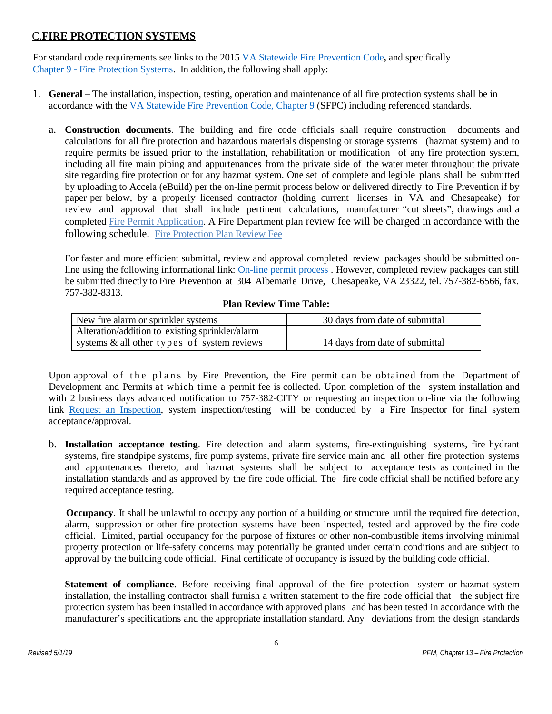### C.**FIRE PROTECTION SYSTEMS**

For standard code requirements see links to the 2015 [VA Statewide Fire Prevention Code](https://codes.iccsafe.org/content/VFC2015SUP)**,** and specifically Chapter 9 - [Fire Protection Systems.](https://codes.iccsafe.org/content/document/1360/14574987) In addition, the following shall apply:

- 1. **General –** The installation, inspection, testing, operation and maintenance of all fire protection systems shall be in accordance with th[e VA Statewide Fire Prevention Code, Chapter 9](https://codes.iccsafe.org/content/document/1360/14574987) (SFPC) including referenced standards.
	- a. **Construction documents**. The building and fire code officials shall require construction documents and calculations for all fire protection and hazardous materials dispensing or storage systems (hazmat system) and to require permits be issued prior to the installation, rehabilitation or modification of any fire protection system, including all fire main piping and appurtenances from the private side of the water meter throughout the private site regarding fire protection or for any hazmat system. One set of complete and legible plans shall be submitted by uploading to Accela (eBuild) per the on-line permit process below or delivered directly to Fire Prevention if by paper per below, by a properly licensed contractor (holding current licenses in VA and Chesapeake) for review and approval that shall include pertinent calculations, manufacturer "cut sheets", drawings and a completed Fire Permit [Application.](http://www.cityofchesapeake.net/AssetFactory.aspx?did=14432) A Fire Department plan review fee will be charged in accordance with the following schedule. [Fire Protection Plan Review Fee](http://www.cityofchesapeake.net/AssetFactory.aspx?did=15357)

For faster and more efficient submittal, review and approval completed review packages should be submitted on-line using the following informational link: [On-line permit process](https://aca3.accela.com/Chesapeake/) . However, completed review packages can still be submitted directly to Fire Prevention at 304 Albemarle Drive, Chesapeake, VA 23322, tel. 757-382-6566, fax. 757-382-8313.

#### **Plan Review Time Table:**

| New fire alarm or sprinkler systems             | 30 days from date of submittal |  |
|-------------------------------------------------|--------------------------------|--|
| Alteration/addition to existing sprinkler/alarm |                                |  |
| systems & all other types of system reviews     | 14 days from date of submittal |  |

Upon approval of the plans by Fire Prevention, the Fire permit can be obtained from the Department of Development and Permits at which time a permit fee is collected. Upon completion of the system installation and with 2 business days advanced notification to 757-382-CITY or requesting an inspection on-line via the following link [Request an Inspection,](https://aca3.accela.com/Chesapeake/) system inspection/testing will be conducted by a Fire Inspector for final system acceptance/approval.

b. **Installation acceptance testing**. Fire detection and alarm systems, fire-extinguishing systems, fire hydrant systems, fire standpipe systems, fire pump systems, private fire service main and all other fire protection systems and appurtenances thereto, and hazmat systems shall be subject to acceptance tests as contained in the installation standards and as approved by the fire code official. The fire code official shall be notified before any required acceptance testing.

**Occupancy**. It shall be unlawful to occupy any portion of a building or structure until the required fire detection, alarm, suppression or other fire protection systems have been inspected, tested and approved by the fire code official. Limited, partial occupancy for the purpose of fixtures or other non-combustible items involving minimal property protection or life-safety concerns may potentially be granted under certain conditions and are subject to approval by the building code official. Final certificate of occupancy is issued by the building code official.

**Statement of compliance**. Before receiving final approval of the fire protection system or hazmat system installation, the installing contractor shall furnish a written statement to the fire code official that the subject fire protection system has been installed in accordance with approved plans and has been tested in accordance with the manufacturer's specifications and the appropriate installation standard. Any deviations from the design standards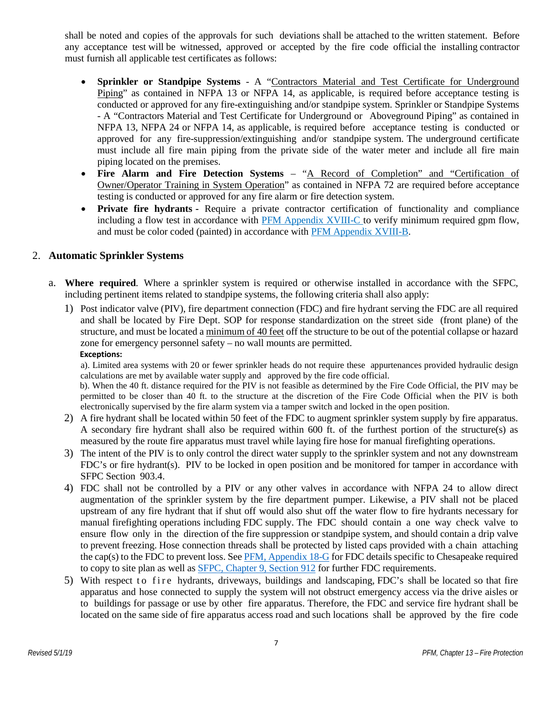shall be noted and copies of the approvals for such deviations shall be attached to the written statement. Before any acceptance test will be witnessed, approved or accepted by the fire code official the installing contractor must furnish all applicable test certificates as follows:

- **Sprinkler or Standpipe Systems** A "Contractors Material and Test Certificate for Underground Piping" as contained in NFPA 13 or NFPA 14, as applicable, is required before acceptance testing is conducted or approved for any fire-extinguishing and/or standpipe system. Sprinkler or Standpipe Systems - A "Contractors Material and Test Certificate for Underground or Aboveground Piping" as contained in NFPA 13, NFPA 24 or NFPA 14, as applicable, is required before acceptance testing is conducted or approved for any fire-suppression/extinguishing and/or standpipe system. The underground certificate must include all fire main piping from the private side of the water meter and include all fire main piping located on the premises.
- **Fire Alarm and Fire Detection Systems** "A Record of Completion" and "Certification of Owner/Operator Training in System Operation" as contained in NFPA 72 are required before acceptance testing is conducted or approved for any fire alarm or fire detection system.
- **Private fire hydrants -** Require a private contractor certification of functionality and compliance including a flow test in accordance with PFM [Appendix](http://www.cityofchesapeake.net/Asset14622.aspx) XVIII-C to verify minimum required gpm flow, and must be color coded (painted) in accordance with PFM [Appendix](http://www.cityofchesapeake.net/Asset14621.aspx) XVIII-B.

#### 2. **Automatic Sprinkler Systems**

- a. **Where required**. Where a sprinkler system is required or otherwise installed in accordance with the SFPC, including pertinent items related to standpipe systems, the following criteria shall also apply:
	- 1) Post indicator valve (PIV), fire department connection (FDC) and fire hydrant serving the FDC are all required and shall be located by Fire Dept. SOP for response standardization on the street side (front plane) of the structure, and must be located a minimum of 40 feet off the structure to be out of the potential collapse or hazard zone for emergency personnel safety – no wall mounts are permitted.

#### **Exceptions:**

a). Limited area systems with 20 or fewer sprinkler heads do not require these appurtenances provided hydraulic design calculations are met by available water supply and approved by the fire code official.

 b). When the 40 ft. distance required for the PIV is not feasible as determined by the Fire Code Official, the PIV may be permitted to be closer than 40 ft. to the structure at the discretion of the Fire Code Official when the PIV is both electronically supervised by the fire alarm system via a tamper switch and locked in the open position.

- 2) A fire hydrant shall be located within 50 feet of the FDC to augment sprinkler system supply by fire apparatus. A secondary fire hydrant shall also be required within 600 ft. of the furthest portion of the structure(s) as measured by the route fire apparatus must travel while laying fire hose for manual firefighting operations.
- 3) The intent of the PIV is to only control the direct water supply to the sprinkler system and not any downstream FDC's or fire hydrant(s). PIV to be locked in open position and be monitored for tamper in accordance with SFPC Section 903.4.
- 4) FDC shall not be controlled by a PIV or any other valves in accordance with NFPA 24 to allow direct augmentation of the sprinkler system by the fire department pumper. Likewise, a PIV shall not be placed upstream of any fire hydrant that if shut off would also shut off the water flow to fire hydrants necessary for manual firefighting operations including FDC supply. The FDC should contain a one way check valve to ensure flow only in the direction of the fire suppression or standpipe system, and should contain a drip valve to prevent freezing. Hose connection threads shall be protected by listed caps provided with a chain attaching the cap(s) to the FDC to prevent loss. See [PFM, Appendix 18-G](http://www.cityofchesapeake.net/Assets/documents/departments/development_permits/pfm/volumei/appendices/18-g-fire-department-connection-fdc.pdf) for FDC details specific to Chesapeake required to copy to site plan as well as **SFPC**, Chapter 9, Section 912 for further FDC requirements.
- 5) With respect to fire hydrants, driveways, buildings and landscaping, FDC's shall be located so that fire apparatus and hose connected to supply the system will not obstruct emergency access via the drive aisles or to buildings for passage or use by other fire apparatus. Therefore, the FDC and service fire hydrant shall be located on the same side of fire apparatus access road and such locations shall be approved by the fire code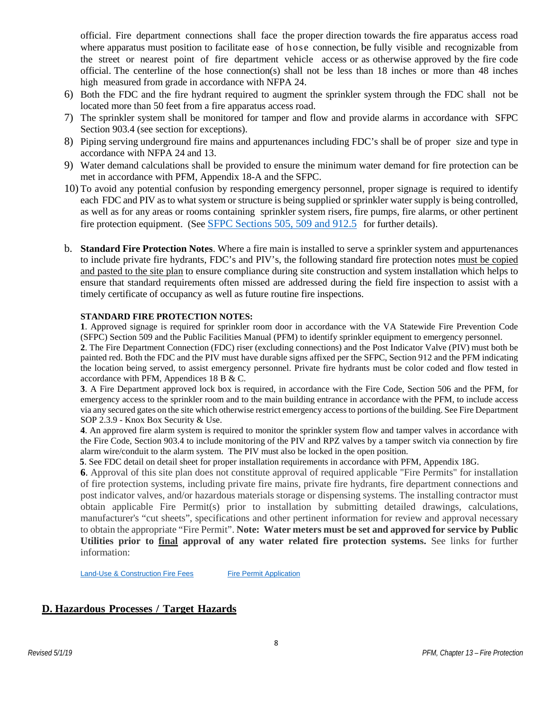official. Fire department connections shall face the proper direction towards the fire apparatus access road where apparatus must position to facilitate ease of hose connection, be fully visible and recognizable from the street or nearest point of fire department vehicle access or as otherwise approved by the fire code official. The centerline of the hose connection(s) shall not be less than 18 inches or more than 48 inches high measured from grade in accordance with NFPA 24.

- 6) Both the FDC and the fire hydrant required to augment the sprinkler system through the FDC shall not be located more than 50 feet from a fire apparatus access road.
- 7) The sprinkler system shall be monitored for tamper and flow and provide alarms in accordance with SFPC Section 903.4 (see section for exceptions).
- 8) Piping serving underground fire mains and appurtenances including FDC's shall be of proper size and type in accordance with NFPA 24 and 13.
- 9) Water demand calculations shall be provided to ensure the minimum water demand for fire protection can be met in accordance with PFM, Appendix 18-A and the SFPC.
- 10) To avoid any potential confusion by responding emergency personnel, proper signage is required to identify each FDC and PIV as to what system or structure is being supplied or sprinkler water supply is being controlled, as well as for any areas or rooms containing sprinkler system risers, fire pumps, fire alarms, or other pertinent fire protection equipment. (See [SFPC Sections 505, 509 and 912.5](https://codes.iccsafe.org/content/VFC2015SUP) for further details).
- b. **Standard Fire Protection Notes**. Where a fire main is installed to serve a sprinkler system and appurtenances to include private fire hydrants, FDC's and PIV's, the following standard fire protection notes must be copied and pasted to the site plan to ensure compliance during site construction and system installation which helps to ensure that standard requirements often missed are addressed during the field fire inspection to assist with a timely certificate of occupancy as well as future routine fire inspections.

#### **STANDARD FIRE PROTECTION NOTES:**

**1**. Approved signage is required for sprinkler room door in accordance with the VA Statewide Fire Prevention Code (SFPC) Section 509 and the Public Facilities Manual (PFM) to identify sprinkler equipment to emergency personnel.

**2**. The Fire Department Connection (FDC) riser (excluding connections) and the Post Indicator Valve (PIV) must both be painted red. Both the FDC and the PIV must have durable signs affixed per the SFPC, Section 912 and the PFM indicating the location being served, to assist emergency personnel. Private fire hydrants must be color coded and flow tested in accordance with PFM, Appendices 18 B & C.

**3**. A Fire Department approved lock box is required, in accordance with the Fire Code, Section 506 and the PFM, for emergency access to the sprinkler room and to the main building entrance in accordance with the PFM, to include access via any secured gates on the site which otherwise restrict emergency access to portions of the building. See Fire Department SOP 2.3.9 - Knox Box Security & Use.

**4**. An approved fire alarm system is required to monitor the sprinkler system flow and tamper valves in accordance with the Fire Code, Section 903.4 to include monitoring of the PIV and RPZ valves by a tamper switch via connection by fire alarm wire/conduit to the alarm system. The PIV must also be locked in the open position.

 **5**. See FDC detail on detail sheet for proper installation requirements in accordance with PFM, Appendix 18G.

**6**. Approval of this site plan does not constitute approval of required applicable "Fire Permits" for installation of fire protection systems, including private fire mains, private fire hydrants, fire department connections and post indicator valves, and/or hazardous materials storage or dispensing systems. The installing contractor must obtain applicable Fire Permit(s) prior to installation by submitting detailed drawings, calculations, manufacturer's "cut sheets", specifications and other pertinent information for review and approval necessary to obtain the appropriate "Fire Permit". **Note: Water meters must be set and approved for service by Public Utilities prior to final approval of any water related fire protection systems.** See links for further information:

[Land-Use & Construction Fire Fees](http://www.cityofchesapeake.net/Business-in-Chesapeake/Development--Land-Use-and-Construction/fees/fees-fire.htm) Fire Permit Application

#### **D. Hazardous Processes / Target Hazards**